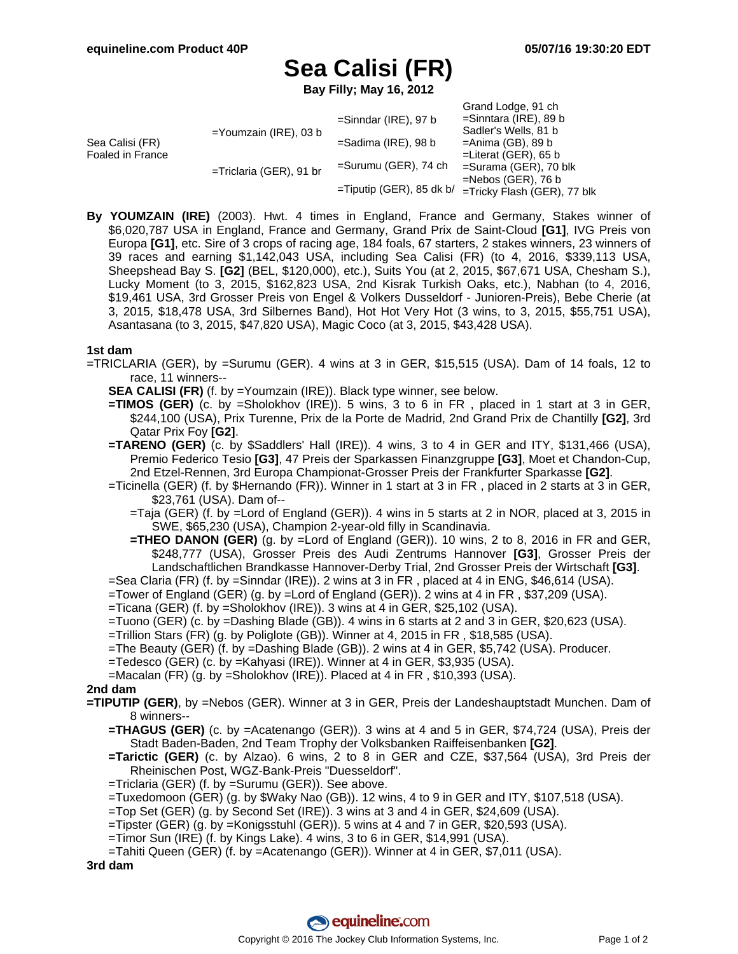# **Sea Calisi (FR)**

**Bay Filly; May 16, 2012**

|                                     |                          |                             | Grand Lodge, 91 ch          |
|-------------------------------------|--------------------------|-----------------------------|-----------------------------|
|                                     |                          | $=$ Sinndar (IRE), 97 b     | $=$ Sinntara (IRE), 89 b    |
| Sea Calisi (FR)<br>Foaled in France | $=$ Youmzain (IRE), 03 b |                             | Sadler's Wells, 81 b        |
|                                     |                          | $=$ Sadima (IRE), 98 b      | $=$ Anima (GB), 89 b        |
|                                     |                          |                             | $=$ Literat (GER), 65 b     |
|                                     | =Triclaria (GER), 91 br  | $=$ Surumu (GER), 74 ch     | $=$ Surama (GER), 70 blk    |
|                                     |                          | $=$ Tiputip (GER), 85 dk b/ | $=$ Nebos (GER), 76 b       |
|                                     |                          |                             | =Tricky Flash (GER), 77 blk |

**By YOUMZAIN (IRE)** (2003). Hwt. 4 times in England, France and Germany, Stakes winner of \$6,020,787 USA in England, France and Germany, Grand Prix de Saint-Cloud **[G1]**, IVG Preis von Europa **[G1]**, etc. Sire of 3 crops of racing age, 184 foals, 67 starters, 2 stakes winners, 23 winners of 39 races and earning \$1,142,043 USA, including Sea Calisi (FR) (to 4, 2016, \$339,113 USA, Sheepshead Bay S. **[G2]** (BEL, \$120,000), etc.), Suits You (at 2, 2015, \$67,671 USA, Chesham S.), Lucky Moment (to 3, 2015, \$162,823 USA, 2nd Kisrak Turkish Oaks, etc.), Nabhan (to 4, 2016, \$19,461 USA, 3rd Grosser Preis von Engel & Volkers Dusseldorf - Junioren-Preis), Bebe Cherie (at 3, 2015, \$18,478 USA, 3rd Silbernes Band), Hot Hot Very Hot (3 wins, to 3, 2015, \$55,751 USA), Asantasana (to 3, 2015, \$47,820 USA), Magic Coco (at 3, 2015, \$43,428 USA).

### **1st dam**

- =TRICLARIA (GER), by =Surumu (GER). 4 wins at 3 in GER, \$15,515 (USA). Dam of 14 foals, 12 to race, 11 winners--
	- **SEA CALISI (FR)** (f. by =Youmzain (IRE)). Black type winner, see below.
	- **=TIMOS (GER)** (c. by =Sholokhov (IRE)). 5 wins, 3 to 6 in FR , placed in 1 start at 3 in GER, \$244,100 (USA), Prix Turenne, Prix de la Porte de Madrid, 2nd Grand Prix de Chantilly **[G2]**, 3rd Qatar Prix Foy **[G2]**.
	- **=TARENO (GER)** (c. by \$Saddlers' Hall (IRE)). 4 wins, 3 to 4 in GER and ITY, \$131,466 (USA), Premio Federico Tesio **[G3]**, 47 Preis der Sparkassen Finanzgruppe **[G3]**, Moet et Chandon-Cup, 2nd Etzel-Rennen, 3rd Europa Championat-Grosser Preis der Frankfurter Sparkasse **[G2]**.
	- =Ticinella (GER) (f. by \$Hernando (FR)). Winner in 1 start at 3 in FR , placed in 2 starts at 3 in GER, \$23,761 (USA). Dam of--
		- =Taja (GER) (f. by =Lord of England (GER)). 4 wins in 5 starts at 2 in NOR, placed at 3, 2015 in SWE, \$65,230 (USA), Champion 2-year-old filly in Scandinavia.
		- **=THEO DANON (GER)** (g. by =Lord of England (GER)). 10 wins, 2 to 8, 2016 in FR and GER, \$248,777 (USA), Grosser Preis des Audi Zentrums Hannover **[G3]**, Grosser Preis der Landschaftlichen Brandkasse Hannover-Derby Trial, 2nd Grosser Preis der Wirtschaft **[G3]**.
	- =Sea Claria (FR) (f. by =Sinndar (IRE)). 2 wins at 3 in FR , placed at 4 in ENG, \$46,614 (USA).
	- =Tower of England (GER) (g. by =Lord of England (GER)). 2 wins at 4 in FR , \$37,209 (USA).
	- =Ticana (GER) (f. by =Sholokhov (IRE)). 3 wins at 4 in GER, \$25,102 (USA).
	- =Tuono (GER) (c. by =Dashing Blade (GB)). 4 wins in 6 starts at 2 and 3 in GER, \$20,623 (USA).
	- =Trillion Stars (FR) (g. by Poliglote (GB)). Winner at 4, 2015 in FR , \$18,585 (USA).
	- =The Beauty (GER) (f. by =Dashing Blade (GB)). 2 wins at 4 in GER, \$5,742 (USA). Producer.
	- =Tedesco (GER) (c. by =Kahyasi (IRE)). Winner at 4 in GER, \$3,935 (USA).
	- =Macalan (FR) (g. by =Sholokhov (IRE)). Placed at 4 in FR , \$10,393 (USA).

### **2nd dam**

- **=TIPUTIP (GER)**, by =Nebos (GER). Winner at 3 in GER, Preis der Landeshauptstadt Munchen. Dam of 8 winners--
	- **=THAGUS (GER)** (c. by =Acatenango (GER)). 3 wins at 4 and 5 in GER, \$74,724 (USA), Preis der Stadt Baden-Baden, 2nd Team Trophy der Volksbanken Raiffeisenbanken **[G2]**.
	- **=Tarictic (GER)** (c. by Alzao). 6 wins, 2 to 8 in GER and CZE, \$37,564 (USA), 3rd Preis der Rheinischen Post, WGZ-Bank-Preis "Duesseldorf".
	- =Triclaria (GER) (f. by =Surumu (GER)). See above.
	- =Tuxedomoon (GER) (g. by \$Waky Nao (GB)). 12 wins, 4 to 9 in GER and ITY, \$107,518 (USA).
	- =Top Set (GER) (g. by Second Set (IRE)). 3 wins at 3 and 4 in GER, \$24,609 (USA).
	- =Tipster (GER) (g. by =Konigsstuhl (GER)). 5 wins at 4 and 7 in GER, \$20,593 (USA).
	- =Timor Sun (IRE) (f. by Kings Lake). 4 wins, 3 to 6 in GER, \$14,991 (USA).
	- =Tahiti Queen (GER) (f. by =Acatenango (GER)). Winner at 4 in GER, \$7,011 (USA).

**3rd dam**